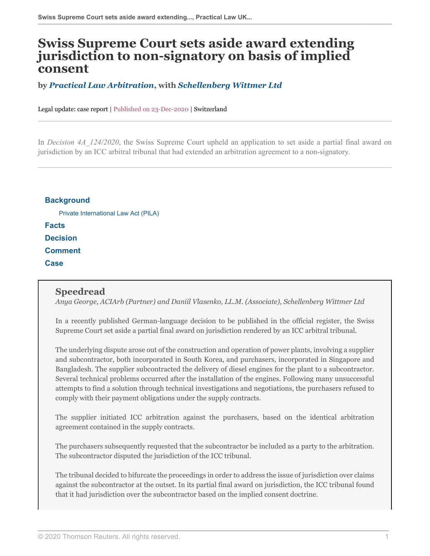# **Swiss Supreme Court sets aside award extending jurisdiction to non-signatory on basis of implied consent**

#### **by** *[Practical Law Arbitration](https://uk.practicallaw.thomsonreuters.com/Browse/Home/About/OurteamArbitration?navId=9A2EAFAC75FBC197BC5C636BCFBE5F4F&comp=pluk&transitionType=Default&contextData=%28sc.Default%29 )***, with** *[Schellenberg Wittmer Ltd](https://www.swlegal.ch/en/ )*

Legal update: case report | Published on 23-Dec-2020 | Switzerland

In *Decision 4A\_124/2020*, the Swiss Supreme Court upheld an application to set aside a partial final award on jurisdiction by an ICC arbitral tribunal that had extended an arbitration agreement to a non-signatory.

## **[Background](#page-1-0)** [Private International Law Act \(PILA\)](#page-1-1) **[Facts](#page-1-2) [Decision](#page-3-0) [Comment](#page-3-1) [Case](#page-3-2)**

#### **Speedread**

*Anya George, ACIArb (Partner) and Daniil Vlasenko, LL.M. (Associate), Schellenberg Wittmer Ltd*

In a recently published German-language decision to be published in the official register, the Swiss Supreme Court set aside a partial final award on jurisdiction rendered by an ICC arbitral tribunal.

The underlying dispute arose out of the construction and operation of power plants, involving a supplier and subcontractor, both incorporated in South Korea, and purchasers, incorporated in Singapore and Bangladesh. The supplier subcontracted the delivery of diesel engines for the plant to a subcontractor. Several technical problems occurred after the installation of the engines. Following many unsuccessful attempts to find a solution through technical investigations and negotiations, the purchasers refused to comply with their payment obligations under the supply contracts.

The supplier initiated ICC arbitration against the purchasers, based on the identical arbitration agreement contained in the supply contracts.

The purchasers subsequently requested that the subcontractor be included as a party to the arbitration. The subcontractor disputed the jurisdiction of the ICC tribunal.

The tribunal decided to bifurcate the proceedings in order to address the issue of jurisdiction over claims against the subcontractor at the outset. In its partial final award on jurisdiction, the ICC tribunal found that it had jurisdiction over the subcontractor based on the implied consent doctrine.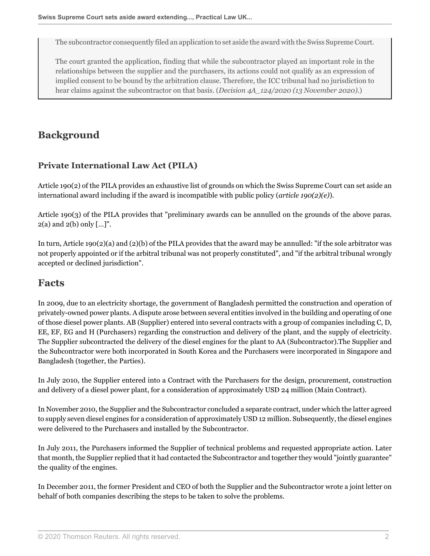The subcontractor consequently filed an application to set aside the award with the Swiss Supreme Court.

The court granted the application, finding that while the subcontractor played an important role in the relationships between the supplier and the purchasers, its actions could not qualify as an expression of implied consent to be bound by the arbitration clause. Therefore, the ICC tribunal had no jurisdiction to hear claims against the subcontractor on that basis. (*Decision 4A\_124/2020 (13 November 2020)*.)

## <span id="page-1-0"></span>**Background**

#### <span id="page-1-1"></span>**Private International Law Act (PILA)**

Article 190(2) of the PILA provides an exhaustive list of grounds on which the Swiss Supreme Court can set aside an international award including if the award is incompatible with public policy (*article 190(2)(e)*).

Article 190(3) of the PILA provides that "preliminary awards can be annulled on the grounds of the above paras.  $2(a)$  and  $2(b)$  only  $[...]$ ".

In turn, Article 190(2)(a) and (2)(b) of the PILA provides that the award may be annulled: "if the sole arbitrator was not properly appointed or if the arbitral tribunal was not properly constituted", and "if the arbitral tribunal wrongly accepted or declined jurisdiction".

### <span id="page-1-2"></span>**Facts**

In 2009, due to an electricity shortage, the government of Bangladesh permitted the construction and operation of privately-owned power plants. A dispute arose between several entities involved in the building and operating of one of those diesel power plants. AB (Supplier) entered into several contracts with a group of companies including C, D, EE, EF, EG and H (Purchasers) regarding the construction and delivery of the plant, and the supply of electricity. The Supplier subcontracted the delivery of the diesel engines for the plant to AA (Subcontractor).The Supplier and the Subcontractor were both incorporated in South Korea and the Purchasers were incorporated in Singapore and Bangladesh (together, the Parties).

In July 2010, the Supplier entered into a Contract with the Purchasers for the design, procurement, construction and delivery of a diesel power plant, for a consideration of approximately USD 24 million (Main Contract).

In November 2010, the Supplier and the Subcontractor concluded a separate contract, under which the latter agreed to supply seven diesel engines for a consideration of approximately USD 12 million. Subsequently, the diesel engines were delivered to the Purchasers and installed by the Subcontractor.

In July 2011, the Purchasers informed the Supplier of technical problems and requested appropriate action. Later that month, the Supplier replied that it had contacted the Subcontractor and together they would "jointly guarantee" the quality of the engines.

In December 2011, the former President and CEO of both the Supplier and the Subcontractor wrote a joint letter on behalf of both companies describing the steps to be taken to solve the problems.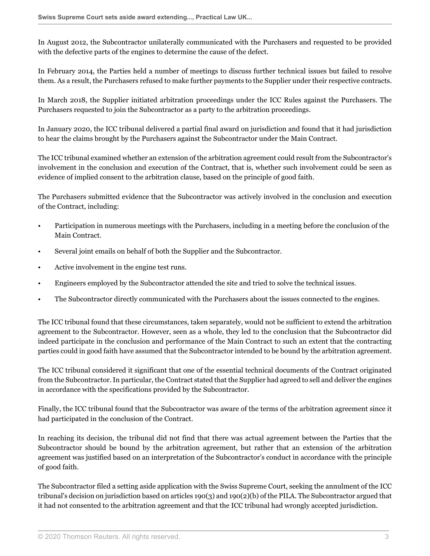In August 2012, the Subcontractor unilaterally communicated with the Purchasers and requested to be provided with the defective parts of the engines to determine the cause of the defect.

In February 2014, the Parties held a number of meetings to discuss further technical issues but failed to resolve them. As a result, the Purchasers refused to make further payments to the Supplier under their respective contracts.

In March 2018, the Supplier initiated arbitration proceedings under the ICC Rules against the Purchasers. The Purchasers requested to join the Subcontractor as a party to the arbitration proceedings.

In January 2020, the ICC tribunal delivered a partial final award on jurisdiction and found that it had jurisdiction to hear the claims brought by the Purchasers against the Subcontractor under the Main Contract.

The ICC tribunal examined whether an extension of the arbitration agreement could result from the Subcontractor's involvement in the conclusion and execution of the Contract, that is, whether such involvement could be seen as evidence of implied consent to the arbitration clause, based on the principle of good faith.

The Purchasers submitted evidence that the Subcontractor was actively involved in the conclusion and execution of the Contract, including:

- Participation in numerous meetings with the Purchasers, including in a meeting before the conclusion of the Main Contract.
- Several joint emails on behalf of both the Supplier and the Subcontractor.
- Active involvement in the engine test runs.
- Engineers employed by the Subcontractor attended the site and tried to solve the technical issues.
- The Subcontractor directly communicated with the Purchasers about the issues connected to the engines.

The ICC tribunal found that these circumstances, taken separately, would not be sufficient to extend the arbitration agreement to the Subcontractor. However, seen as a whole, they led to the conclusion that the Subcontractor did indeed participate in the conclusion and performance of the Main Contract to such an extent that the contracting parties could in good faith have assumed that the Subcontractor intended to be bound by the arbitration agreement.

The ICC tribunal considered it significant that one of the essential technical documents of the Contract originated from the Subcontractor. In particular, the Contract stated that the Supplier had agreed to sell and deliver the engines in accordance with the specifications provided by the Subcontractor.

Finally, the ICC tribunal found that the Subcontractor was aware of the terms of the arbitration agreement since it had participated in the conclusion of the Contract.

In reaching its decision, the tribunal did not find that there was actual agreement between the Parties that the Subcontractor should be bound by the arbitration agreement, but rather that an extension of the arbitration agreement was justified based on an interpretation of the Subcontractor's conduct in accordance with the principle of good faith.

The Subcontractor filed a setting aside application with the Swiss Supreme Court, seeking the annulment of the ICC tribunal's decision on jurisdiction based on articles 190(3) and 190(2)(b) of the PILA. The Subcontractor argued that it had not consented to the arbitration agreement and that the ICC tribunal had wrongly accepted jurisdiction.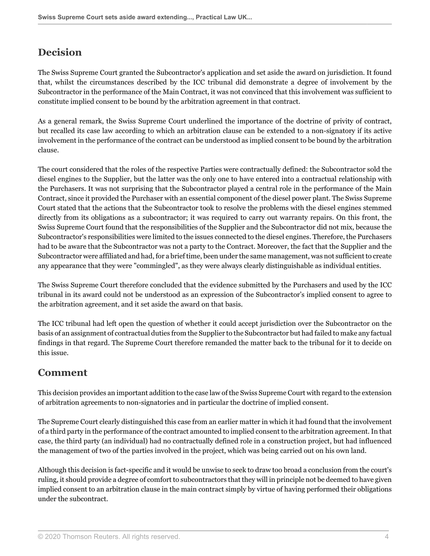## <span id="page-3-0"></span>**Decision**

The Swiss Supreme Court granted the Subcontractor's application and set aside the award on jurisdiction. It found that, whilst the circumstances described by the ICC tribunal did demonstrate a degree of involvement by the Subcontractor in the performance of the Main Contract, it was not convinced that this involvement was sufficient to constitute implied consent to be bound by the arbitration agreement in that contract.

As a general remark, the Swiss Supreme Court underlined the importance of the doctrine of privity of contract, but recalled its case law according to which an arbitration clause can be extended to a non-signatory if its active involvement in the performance of the contract can be understood as implied consent to be bound by the arbitration clause.

The court considered that the roles of the respective Parties were contractually defined: the Subcontractor sold the diesel engines to the Supplier, but the latter was the only one to have entered into a contractual relationship with the Purchasers. It was not surprising that the Subcontractor played a central role in the performance of the Main Contract, since it provided the Purchaser with an essential component of the diesel power plant. The Swiss Supreme Court stated that the actions that the Subcontractor took to resolve the problems with the diesel engines stemmed directly from its obligations as a subcontractor; it was required to carry out warranty repairs. On this front, the Swiss Supreme Court found that the responsibilities of the Supplier and the Subcontractor did not mix, because the Subcontractor's responsibilities were limited to the issues connected to the diesel engines. Therefore, the Purchasers had to be aware that the Subcontractor was not a party to the Contract. Moreover, the fact that the Supplier and the Subcontractor were affiliated and had, for a brief time, been under the same management, was not sufficient to create any appearance that they were "commingled", as they were always clearly distinguishable as individual entities.

The Swiss Supreme Court therefore concluded that the evidence submitted by the Purchasers and used by the ICC tribunal in its award could not be understood as an expression of the Subcontractor's implied consent to agree to the arbitration agreement, and it set aside the award on that basis.

The ICC tribunal had left open the question of whether it could accept jurisdiction over the Subcontractor on the basis of an assignment of contractual duties from the Supplier to the Subcontractor but had failed to make any factual findings in that regard. The Supreme Court therefore remanded the matter back to the tribunal for it to decide on this issue.

#### <span id="page-3-1"></span>**Comment**

This decision provides an important addition to the case law of the Swiss Supreme Court with regard to the extension of arbitration agreements to non-signatories and in particular the doctrine of implied consent.

The Supreme Court clearly distinguished this case from an earlier matter in which it had found that the involvement of a third party in the performance of the contract amounted to implied consent to the arbitration agreement. In that case, the third party (an individual) had no contractually defined role in a construction project, but had influenced the management of two of the parties involved in the project, which was being carried out on his own land.

<span id="page-3-2"></span>Although this decision is fact-specific and it would be unwise to seek to draw too broad a conclusion from the court's ruling, it should provide a degree of comfort to subcontractors that they will in principle not be deemed to have given implied consent to an arbitration clause in the main contract simply by virtue of having performed their obligations under the subcontract.